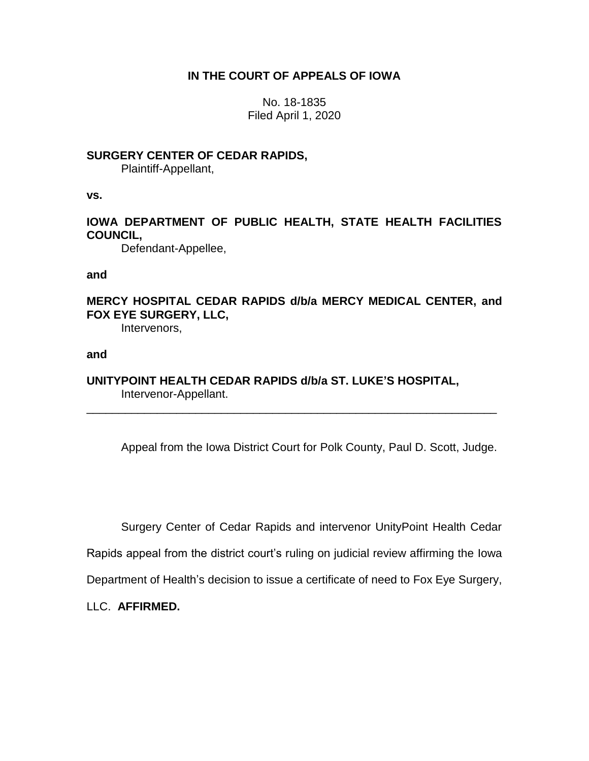# **IN THE COURT OF APPEALS OF IOWA**

No. 18-1835 Filed April 1, 2020

## **SURGERY CENTER OF CEDAR RAPIDS,**

Plaintiff-Appellant,

**vs.**

# **IOWA DEPARTMENT OF PUBLIC HEALTH, STATE HEALTH FACILITIES COUNCIL,**

Defendant-Appellee,

**and**

# **MERCY HOSPITAL CEDAR RAPIDS d/b/a MERCY MEDICAL CENTER, and FOX EYE SURGERY, LLC,**

Intervenors,

### **and**

## **UNITYPOINT HEALTH CEDAR RAPIDS d/b/a ST. LUKE'S HOSPITAL,** Intervenor-Appellant.

\_\_\_\_\_\_\_\_\_\_\_\_\_\_\_\_\_\_\_\_\_\_\_\_\_\_\_\_\_\_\_\_\_\_\_\_\_\_\_\_\_\_\_\_\_\_\_\_\_\_\_\_\_\_\_\_\_\_\_\_\_\_\_\_

Appeal from the Iowa District Court for Polk County, Paul D. Scott, Judge.

Surgery Center of Cedar Rapids and intervenor UnityPoint Health Cedar

Rapids appeal from the district court's ruling on judicial review affirming the Iowa

Department of Health's decision to issue a certificate of need to Fox Eye Surgery,

LLC. **AFFIRMED.**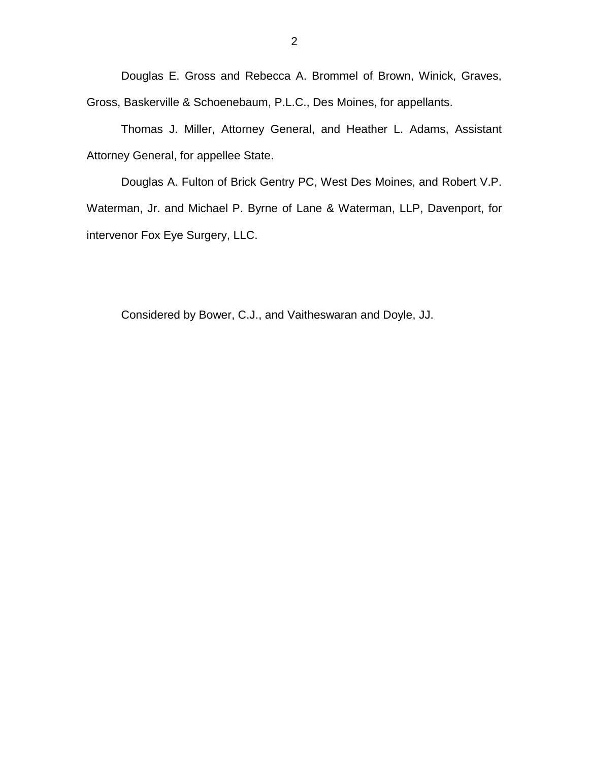Douglas E. Gross and Rebecca A. Brommel of Brown, Winick, Graves, Gross, Baskerville & Schoenebaum, P.L.C., Des Moines, for appellants.

Thomas J. Miller, Attorney General, and Heather L. Adams, Assistant Attorney General, for appellee State.

Douglas A. Fulton of Brick Gentry PC, West Des Moines, and Robert V.P. Waterman, Jr. and Michael P. Byrne of Lane & Waterman, LLP, Davenport, for intervenor Fox Eye Surgery, LLC.

Considered by Bower, C.J., and Vaitheswaran and Doyle, JJ.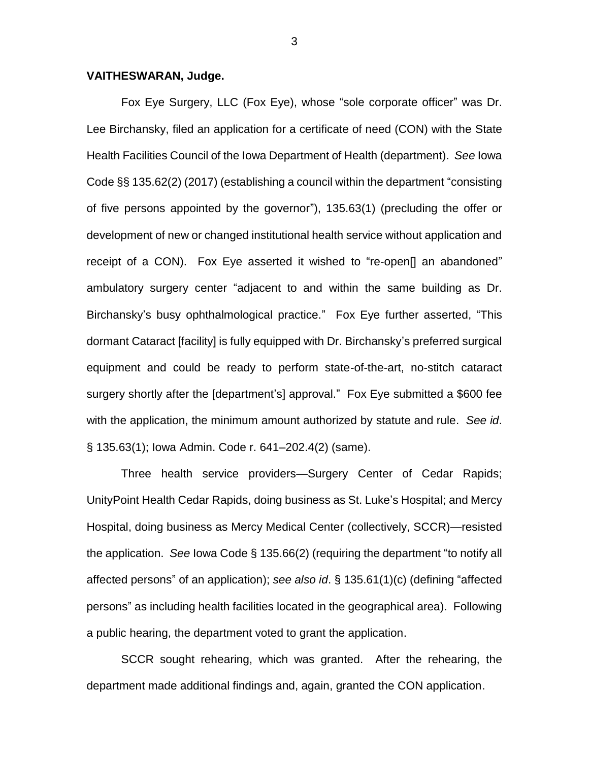#### **VAITHESWARAN, Judge.**

Fox Eye Surgery, LLC (Fox Eye), whose "sole corporate officer" was Dr. Lee Birchansky, filed an application for a certificate of need (CON) with the State Health Facilities Council of the Iowa Department of Health (department). *See* Iowa Code §§ 135.62(2) (2017) (establishing a council within the department "consisting of five persons appointed by the governor"), 135.63(1) (precluding the offer or development of new or changed institutional health service without application and receipt of a CON). Fox Eye asserted it wished to "re-open[] an abandoned" ambulatory surgery center "adjacent to and within the same building as Dr. Birchansky's busy ophthalmological practice." Fox Eye further asserted, "This dormant Cataract [facility] is fully equipped with Dr. Birchansky's preferred surgical equipment and could be ready to perform state-of-the-art, no-stitch cataract surgery shortly after the [department's] approval." Fox Eye submitted a \$600 fee with the application, the minimum amount authorized by statute and rule. *See id*. § 135.63(1); Iowa Admin. Code r. 641–202.4(2) (same).

Three health service providers—Surgery Center of Cedar Rapids; UnityPoint Health Cedar Rapids, doing business as St. Luke's Hospital; and Mercy Hospital, doing business as Mercy Medical Center (collectively, SCCR)—resisted the application. *See* Iowa Code § 135.66(2) (requiring the department "to notify all affected persons" of an application); *see also id*. § 135.61(1)(c) (defining "affected persons" as including health facilities located in the geographical area). Following a public hearing, the department voted to grant the application.

SCCR sought rehearing, which was granted. After the rehearing, the department made additional findings and, again, granted the CON application.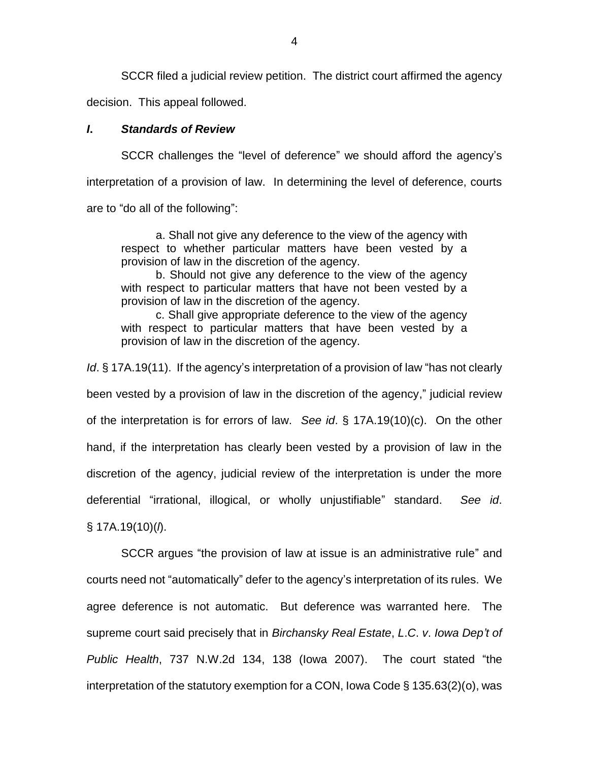SCCR filed a judicial review petition. The district court affirmed the agency decision. This appeal followed.

#### *I***.** *Standards of Review*

SCCR challenges the "level of deference" we should afford the agency's interpretation of a provision of law. In determining the level of deference, courts are to "do all of the following":

a. Shall not give any deference to the view of the agency with respect to whether particular matters have been vested by a provision of law in the discretion of the agency.

b. Should not give any deference to the view of the agency with respect to particular matters that have not been vested by a provision of law in the discretion of the agency.

c. Shall give appropriate deference to the view of the agency with respect to particular matters that have been vested by a provision of law in the discretion of the agency.

*Id*. § 17A.19(11). If the agency's interpretation of a provision of law "has not clearly

been vested by a provision of law in the discretion of the agency," judicial review of the interpretation is for errors of law. *See id*. § 17A.19(10)(c). On the other hand, if the interpretation has clearly been vested by a provision of law in the discretion of the agency, judicial review of the interpretation is under the more deferential "irrational, illogical, or wholly unjustifiable" standard. *See id*. § 17A.19(10)(*l*).

SCCR argues "the provision of law at issue is an administrative rule" and courts need not "automatically" defer to the agency's interpretation of its rules. We agree deference is not automatic. But deference was warranted here. The supreme court said precisely that in *Birchansky Real Estate*, *L*.*C*. *v*. *Iowa Dep't of Public Health*, 737 N.W.2d 134, 138 (Iowa 2007). The court stated "the interpretation of the statutory exemption for a CON, Iowa Code § 135.63(2)(o), was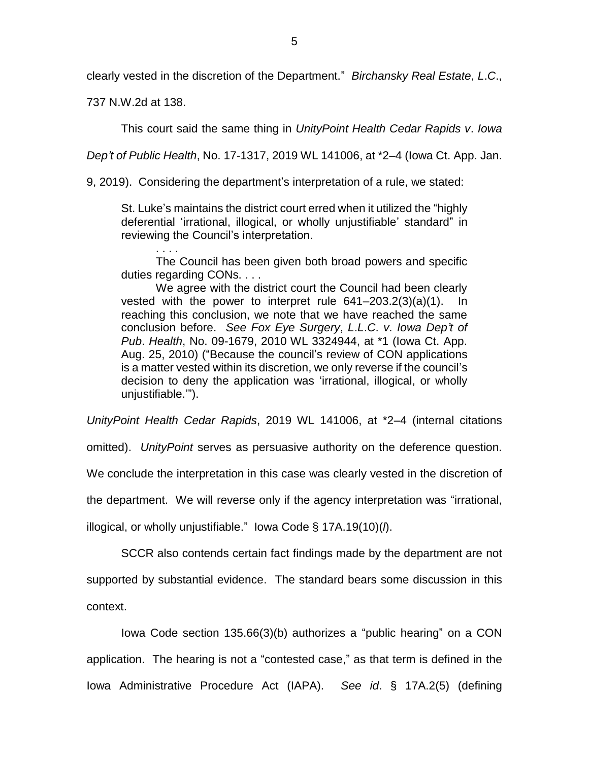clearly vested in the discretion of the Department." *Birchansky Real Estate*, *L*.*C*.,

737 N.W.2d at 138.

. . . .

This court said the same thing in *UnityPoint Health Cedar Rapids v*. *Iowa* 

*Dep't of Public Health*, No. 17-1317, 2019 WL 141006, at \*2–4 (Iowa Ct. App. Jan.

9, 2019). Considering the department's interpretation of a rule, we stated:

St. Luke's maintains the district court erred when it utilized the "highly deferential 'irrational, illogical, or wholly unjustifiable' standard" in reviewing the Council's interpretation.

The Council has been given both broad powers and specific duties regarding CONs. . . .

We agree with the district court the Council had been clearly vested with the power to interpret rule 641–203.2(3)(a)(1). In reaching this conclusion, we note that we have reached the same conclusion before. *See Fox Eye Surgery*, *L*.*L*.*C*. *v*. *Iowa Dep't of Pub*. *Health*, No. 09-1679, 2010 WL 3324944, at \*1 (Iowa Ct. App. Aug. 25, 2010) ("Because the council's review of CON applications is a matter vested within its discretion, we only reverse if the council's decision to deny the application was 'irrational, illogical, or wholly unjustifiable.'").

*UnityPoint Health Cedar Rapids*, 2019 WL 141006, at \*2–4 (internal citations

omitted). *UnityPoint* serves as persuasive authority on the deference question.

We conclude the interpretation in this case was clearly vested in the discretion of

the department. We will reverse only if the agency interpretation was "irrational,

illogical, or wholly unjustifiable." Iowa Code § 17A.19(10)(*l*).

SCCR also contends certain fact findings made by the department are not supported by substantial evidence. The standard bears some discussion in this context.

Iowa Code section 135.66(3)(b) authorizes a "public hearing" on a CON application. The hearing is not a "contested case," as that term is defined in the Iowa Administrative Procedure Act (IAPA). *See id*. § 17A.2(5) (defining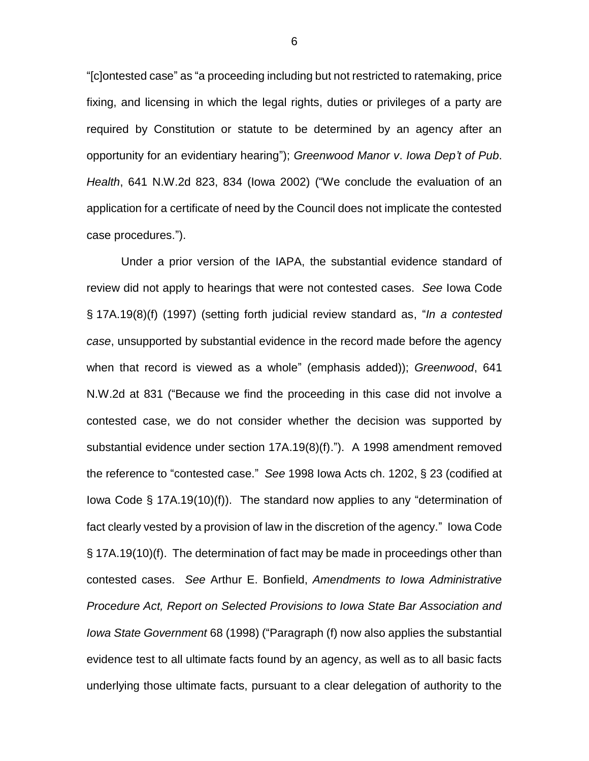"[c]ontested case" as "a proceeding including but not restricted to ratemaking, price fixing, and licensing in which the legal rights, duties or privileges of a party are required by Constitution or statute to be determined by an agency after an opportunity for an evidentiary hearing"); *Greenwood Manor v*. *Iowa Dep't of Pub*. *Health*, 641 N.W.2d 823, 834 (Iowa 2002) ("We conclude the evaluation of an application for a certificate of need by the Council does not implicate the contested case procedures.").

Under a prior version of the IAPA, the substantial evidence standard of review did not apply to hearings that were not contested cases. *See* Iowa Code § 17A.19(8)(f) (1997) (setting forth judicial review standard as, "*In a contested case*, unsupported by substantial evidence in the record made before the agency when that record is viewed as a whole" (emphasis added)); *Greenwood*, 641 N.W.2d at 831 ("Because we find the proceeding in this case did not involve a contested case, we do not consider whether the decision was supported by substantial evidence under section 17A.19(8)(f)."). A 1998 amendment removed the reference to "contested case." *See* 1998 Iowa Acts ch. 1202, § 23 (codified at Iowa Code § 17A.19(10)(f)). The standard now applies to any "determination of fact clearly vested by a provision of law in the discretion of the agency." Iowa Code § 17A.19(10)(f). The determination of fact may be made in proceedings other than contested cases. *See* Arthur E. Bonfield, *Amendments to Iowa Administrative Procedure Act, Report on Selected Provisions to Iowa State Bar Association and Iowa State Government* 68 (1998) ("Paragraph (f) now also applies the substantial evidence test to all ultimate facts found by an agency, as well as to all basic facts underlying those ultimate facts, pursuant to a clear delegation of authority to the

6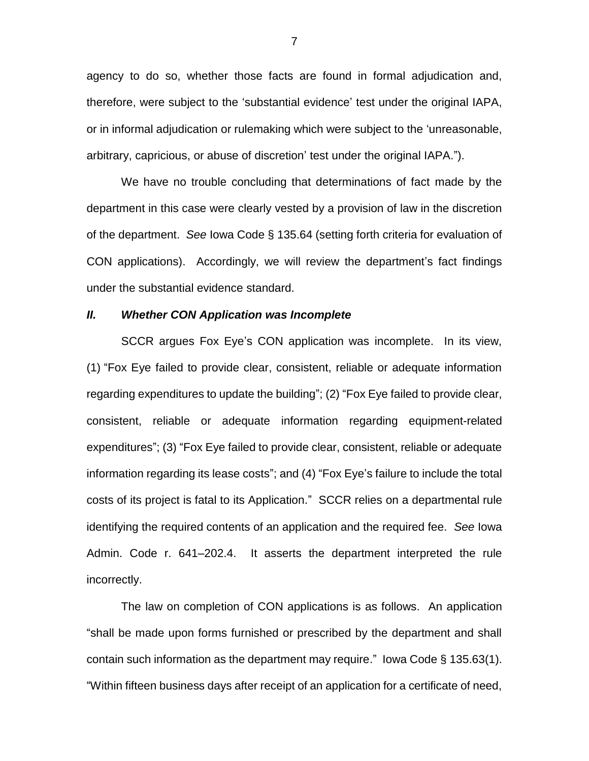agency to do so, whether those facts are found in formal adjudication and, therefore, were subject to the 'substantial evidence' test under the original IAPA, or in informal adjudication or rulemaking which were subject to the 'unreasonable, arbitrary, capricious, or abuse of discretion' test under the original IAPA.").

We have no trouble concluding that determinations of fact made by the department in this case were clearly vested by a provision of law in the discretion of the department. *See* Iowa Code § 135.64 (setting forth criteria for evaluation of CON applications). Accordingly, we will review the department's fact findings under the substantial evidence standard.

#### *II. Whether CON Application was Incomplete*

SCCR argues Fox Eye's CON application was incomplete. In its view, (1) "Fox Eye failed to provide clear, consistent, reliable or adequate information regarding expenditures to update the building"; (2) "Fox Eye failed to provide clear, consistent, reliable or adequate information regarding equipment-related expenditures"; (3) "Fox Eye failed to provide clear, consistent, reliable or adequate information regarding its lease costs"; and (4) "Fox Eye's failure to include the total costs of its project is fatal to its Application." SCCR relies on a departmental rule identifying the required contents of an application and the required fee. *See* Iowa Admin. Code r. 641–202.4. It asserts the department interpreted the rule incorrectly.

The law on completion of CON applications is as follows. An application "shall be made upon forms furnished or prescribed by the department and shall contain such information as the department may require." Iowa Code § 135.63(1). "Within fifteen business days after receipt of an application for a certificate of need,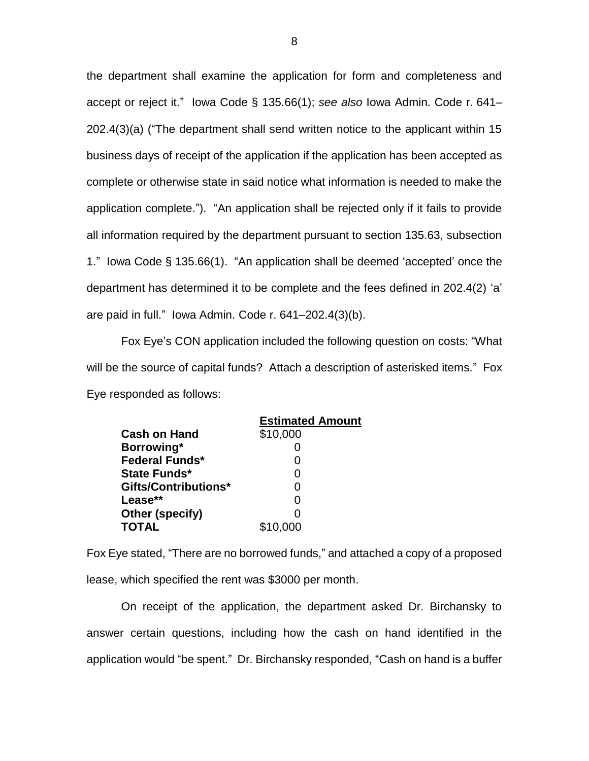the department shall examine the application for form and completeness and accept or reject it." Iowa Code § 135.66(1); *see also* Iowa Admin. Code r. 641– 202.4(3)(a) ("The department shall send written notice to the applicant within 15 business days of receipt of the application if the application has been accepted as complete or otherwise state in said notice what information is needed to make the application complete."). "An application shall be rejected only if it fails to provide all information required by the department pursuant to section 135.63, subsection 1." Iowa Code § 135.66(1). "An application shall be deemed 'accepted' once the department has determined it to be complete and the fees defined in 202.4(2) 'a' are paid in full." Iowa Admin. Code r. 641–202.4(3)(b).

Fox Eye's CON application included the following question on costs: "What will be the source of capital funds? Attach a description of asterisked items." Fox Eye responded as follows:

|                             | <b>Estimated Amount</b> |
|-----------------------------|-------------------------|
| <b>Cash on Hand</b>         | \$10,000                |
| Borrowing*                  |                         |
| <b>Federal Funds*</b>       | O                       |
| State Funds*                | O                       |
| <b>Gifts/Contributions*</b> | 0                       |
| Lease**                     | O                       |
| Other (specify)             | ი                       |
| <b>TOTAL</b>                | \$10,000                |

Fox Eye stated, "There are no borrowed funds," and attached a copy of a proposed lease, which specified the rent was \$3000 per month.

On receipt of the application, the department asked Dr. Birchansky to answer certain questions, including how the cash on hand identified in the application would "be spent." Dr. Birchansky responded, "Cash on hand is a buffer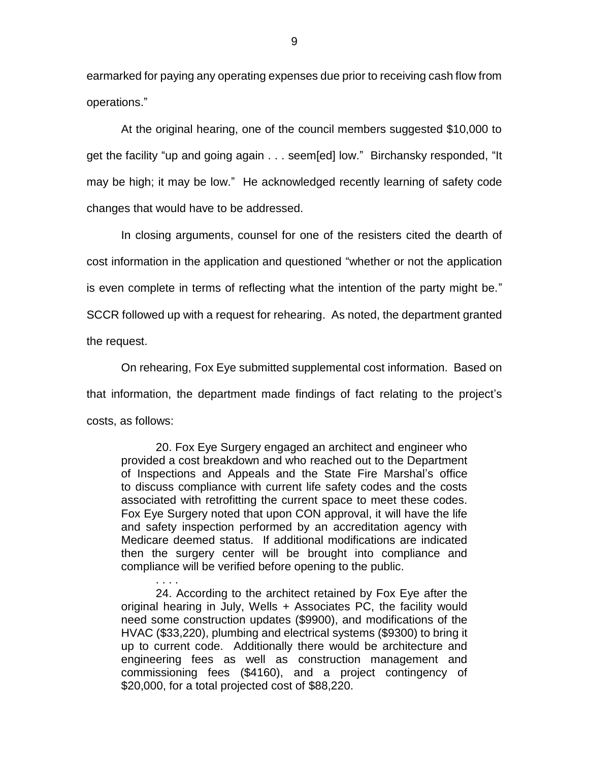earmarked for paying any operating expenses due prior to receiving cash flow from operations."

At the original hearing, one of the council members suggested \$10,000 to get the facility "up and going again . . . seem[ed] low." Birchansky responded, "It may be high; it may be low." He acknowledged recently learning of safety code changes that would have to be addressed.

In closing arguments, counsel for one of the resisters cited the dearth of cost information in the application and questioned "whether or not the application is even complete in terms of reflecting what the intention of the party might be." SCCR followed up with a request for rehearing. As noted, the department granted the request.

On rehearing, Fox Eye submitted supplemental cost information. Based on that information, the department made findings of fact relating to the project's costs, as follows:

20. Fox Eye Surgery engaged an architect and engineer who provided a cost breakdown and who reached out to the Department of Inspections and Appeals and the State Fire Marshal's office to discuss compliance with current life safety codes and the costs associated with retrofitting the current space to meet these codes. Fox Eye Surgery noted that upon CON approval, it will have the life and safety inspection performed by an accreditation agency with Medicare deemed status. If additional modifications are indicated then the surgery center will be brought into compliance and compliance will be verified before opening to the public.

24. According to the architect retained by Fox Eye after the original hearing in July, Wells + Associates PC, the facility would need some construction updates (\$9900), and modifications of the HVAC (\$33,220), plumbing and electrical systems (\$9300) to bring it up to current code. Additionally there would be architecture and engineering fees as well as construction management and commissioning fees (\$4160), and a project contingency of \$20,000, for a total projected cost of \$88,220.

. . . .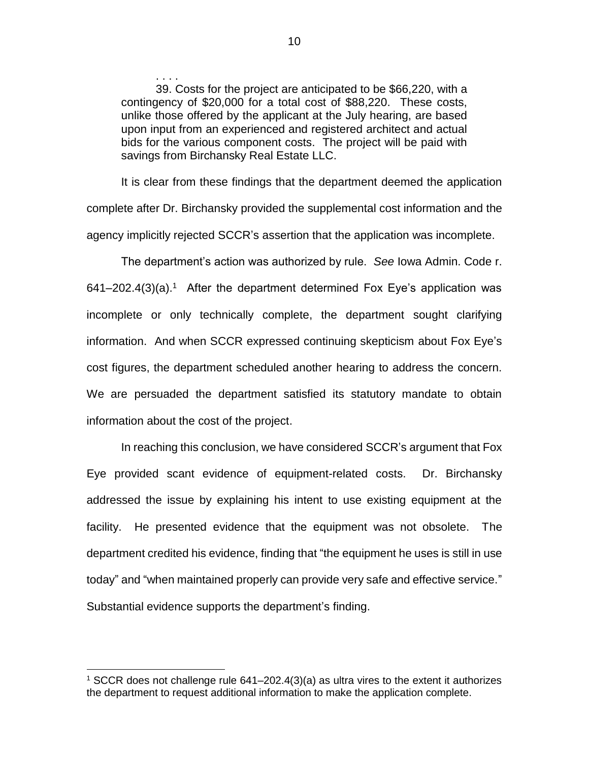39. Costs for the project are anticipated to be \$66,220, with a contingency of \$20,000 for a total cost of \$88,220. These costs, unlike those offered by the applicant at the July hearing, are based upon input from an experienced and registered architect and actual bids for the various component costs. The project will be paid with savings from Birchansky Real Estate LLC.

It is clear from these findings that the department deemed the application complete after Dr. Birchansky provided the supplemental cost information and the agency implicitly rejected SCCR's assertion that the application was incomplete.

The department's action was authorized by rule. *See* Iowa Admin. Code r.  $641 - 202.4(3)(a)^{-1}$  After the department determined Fox Eye's application was incomplete or only technically complete, the department sought clarifying information. And when SCCR expressed continuing skepticism about Fox Eye's cost figures, the department scheduled another hearing to address the concern. We are persuaded the department satisfied its statutory mandate to obtain information about the cost of the project.

In reaching this conclusion, we have considered SCCR's argument that Fox Eye provided scant evidence of equipment-related costs. Dr. Birchansky addressed the issue by explaining his intent to use existing equipment at the facility. He presented evidence that the equipment was not obsolete. The department credited his evidence, finding that "the equipment he uses is still in use today" and "when maintained properly can provide very safe and effective service." Substantial evidence supports the department's finding.

. . . .

 $\overline{a}$ 

<sup>1</sup> SCCR does not challenge rule 641–202.4(3)(a) as ultra vires to the extent it authorizes the department to request additional information to make the application complete.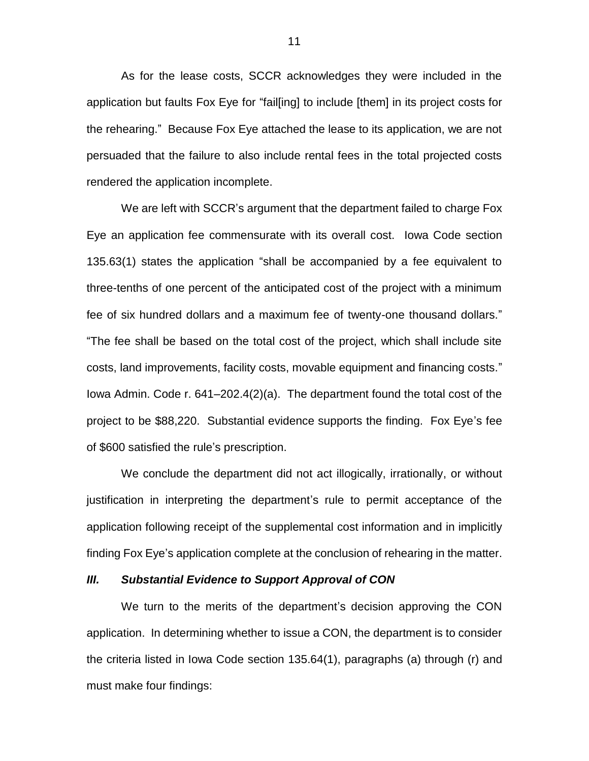As for the lease costs, SCCR acknowledges they were included in the application but faults Fox Eye for "fail[ing] to include [them] in its project costs for the rehearing." Because Fox Eye attached the lease to its application, we are not persuaded that the failure to also include rental fees in the total projected costs rendered the application incomplete.

We are left with SCCR's argument that the department failed to charge Fox Eye an application fee commensurate with its overall cost. Iowa Code section 135.63(1) states the application "shall be accompanied by a fee equivalent to three-tenths of one percent of the anticipated cost of the project with a minimum fee of six hundred dollars and a maximum fee of twenty-one thousand dollars." "The fee shall be based on the total cost of the project, which shall include site costs, land improvements, facility costs, movable equipment and financing costs." Iowa Admin. Code r. 641–202.4(2)(a). The department found the total cost of the project to be \$88,220. Substantial evidence supports the finding. Fox Eye's fee of \$600 satisfied the rule's prescription.

We conclude the department did not act illogically, irrationally, or without justification in interpreting the department's rule to permit acceptance of the application following receipt of the supplemental cost information and in implicitly finding Fox Eye's application complete at the conclusion of rehearing in the matter.

#### *III. Substantial Evidence to Support Approval of CON*

We turn to the merits of the department's decision approving the CON application. In determining whether to issue a CON, the department is to consider the criteria listed in Iowa Code section 135.64(1), paragraphs (a) through (r) and must make four findings: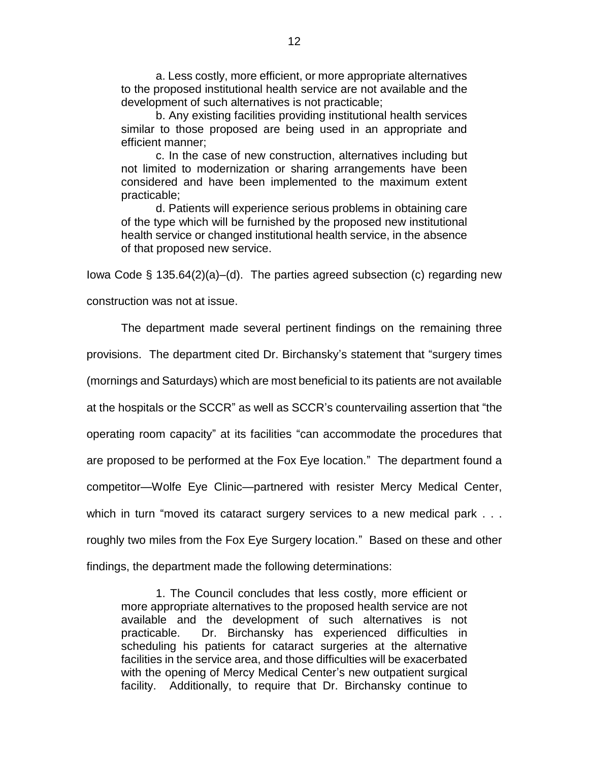a. Less costly, more efficient, or more appropriate alternatives to the proposed institutional health service are not available and the development of such alternatives is not practicable;

b. Any existing facilities providing institutional health services similar to those proposed are being used in an appropriate and efficient manner;

c. In the case of new construction, alternatives including but not limited to modernization or sharing arrangements have been considered and have been implemented to the maximum extent practicable;

d. Patients will experience serious problems in obtaining care of the type which will be furnished by the proposed new institutional health service or changed institutional health service, in the absence of that proposed new service.

Iowa Code § 135.64(2)(a)–(d). The parties agreed subsection (c) regarding new

construction was not at issue.

The department made several pertinent findings on the remaining three provisions. The department cited Dr. Birchansky's statement that "surgery times (mornings and Saturdays) which are most beneficial to its patients are not available at the hospitals or the SCCR" as well as SCCR's countervailing assertion that "the operating room capacity" at its facilities "can accommodate the procedures that are proposed to be performed at the Fox Eye location." The department found a competitor—Wolfe Eye Clinic—partnered with resister Mercy Medical Center, which in turn "moved its cataract surgery services to a new medical park . . . roughly two miles from the Fox Eye Surgery location." Based on these and other findings, the department made the following determinations:

1. The Council concludes that less costly, more efficient or more appropriate alternatives to the proposed health service are not available and the development of such alternatives is not practicable. Dr. Birchansky has experienced difficulties in scheduling his patients for cataract surgeries at the alternative facilities in the service area, and those difficulties will be exacerbated with the opening of Mercy Medical Center's new outpatient surgical facility. Additionally, to require that Dr. Birchansky continue to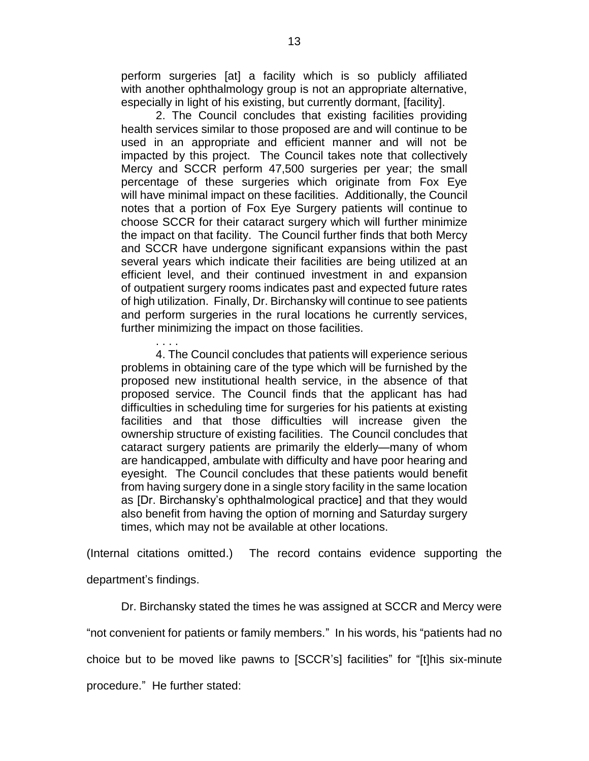perform surgeries [at] a facility which is so publicly affiliated with another ophthalmology group is not an appropriate alternative, especially in light of his existing, but currently dormant, [facility].

2. The Council concludes that existing facilities providing health services similar to those proposed are and will continue to be used in an appropriate and efficient manner and will not be impacted by this project. The Council takes note that collectively Mercy and SCCR perform 47,500 surgeries per year; the small percentage of these surgeries which originate from Fox Eye will have minimal impact on these facilities. Additionally, the Council notes that a portion of Fox Eye Surgery patients will continue to choose SCCR for their cataract surgery which will further minimize the impact on that facility. The Council further finds that both Mercy and SCCR have undergone significant expansions within the past several years which indicate their facilities are being utilized at an efficient level, and their continued investment in and expansion of outpatient surgery rooms indicates past and expected future rates of high utilization. Finally, Dr. Birchansky will continue to see patients and perform surgeries in the rural locations he currently services, further minimizing the impact on those facilities.

. . . . 4. The Council concludes that patients will experience serious problems in obtaining care of the type which will be furnished by the proposed new institutional health service, in the absence of that proposed service. The Council finds that the applicant has had difficulties in scheduling time for surgeries for his patients at existing facilities and that those difficulties will increase given the ownership structure of existing facilities. The Council concludes that cataract surgery patients are primarily the elderly—many of whom are handicapped, ambulate with difficulty and have poor hearing and eyesight. The Council concludes that these patients would benefit from having surgery done in a single story facility in the same location as [Dr. Birchansky's ophthalmological practice] and that they would also benefit from having the option of morning and Saturday surgery times, which may not be available at other locations.

(Internal citations omitted.) The record contains evidence supporting the department's findings.

Dr. Birchansky stated the times he was assigned at SCCR and Mercy were "not convenient for patients or family members." In his words, his "patients had no choice but to be moved like pawns to [SCCR's] facilities" for "[t]his six-minute procedure." He further stated: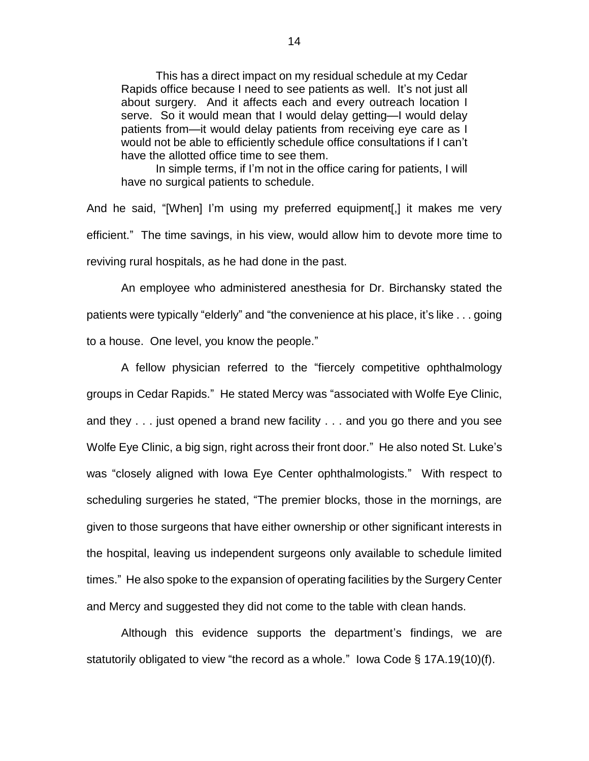This has a direct impact on my residual schedule at my Cedar Rapids office because I need to see patients as well. It's not just all about surgery. And it affects each and every outreach location I serve. So it would mean that I would delay getting—I would delay patients from—it would delay patients from receiving eye care as I would not be able to efficiently schedule office consultations if I can't have the allotted office time to see them.

In simple terms, if I'm not in the office caring for patients, I will have no surgical patients to schedule.

And he said, "[When] I'm using my preferred equipment[,] it makes me very efficient." The time savings, in his view, would allow him to devote more time to reviving rural hospitals, as he had done in the past.

An employee who administered anesthesia for Dr. Birchansky stated the patients were typically "elderly" and "the convenience at his place, it's like . . . going to a house. One level, you know the people."

A fellow physician referred to the "fiercely competitive ophthalmology groups in Cedar Rapids." He stated Mercy was "associated with Wolfe Eye Clinic, and they . . . just opened a brand new facility . . . and you go there and you see Wolfe Eye Clinic, a big sign, right across their front door." He also noted St. Luke's was "closely aligned with Iowa Eye Center ophthalmologists." With respect to scheduling surgeries he stated, "The premier blocks, those in the mornings, are given to those surgeons that have either ownership or other significant interests in the hospital, leaving us independent surgeons only available to schedule limited times." He also spoke to the expansion of operating facilities by the Surgery Center and Mercy and suggested they did not come to the table with clean hands.

Although this evidence supports the department's findings, we are statutorily obligated to view "the record as a whole." Iowa Code § 17A.19(10)(f).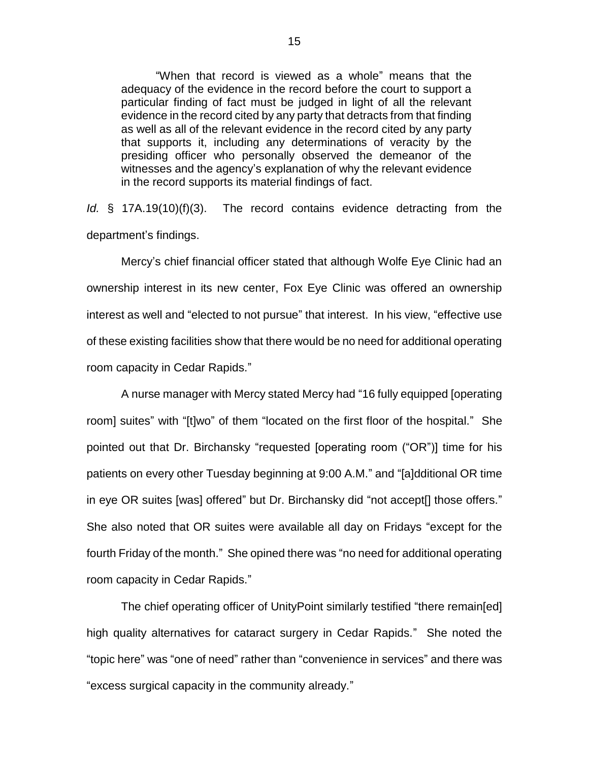"When that record is viewed as a whole" means that the adequacy of the evidence in the record before the court to support a particular finding of fact must be judged in light of all the relevant evidence in the record cited by any party that detracts from that finding as well as all of the relevant evidence in the record cited by any party that supports it, including any determinations of veracity by the presiding officer who personally observed the demeanor of the witnesses and the agency's explanation of why the relevant evidence in the record supports its material findings of fact.

*Id.* § 17A.19(10)(f)(3). The record contains evidence detracting from the department's findings.

Mercy's chief financial officer stated that although Wolfe Eye Clinic had an ownership interest in its new center, Fox Eye Clinic was offered an ownership interest as well and "elected to not pursue" that interest. In his view, "effective use of these existing facilities show that there would be no need for additional operating room capacity in Cedar Rapids."

A nurse manager with Mercy stated Mercy had "16 fully equipped [operating room] suites" with "[t]wo" of them "located on the first floor of the hospital." She pointed out that Dr. Birchansky "requested [operating room ("OR")] time for his patients on every other Tuesday beginning at 9:00 A.M." and "[a]dditional OR time in eye OR suites [was] offered" but Dr. Birchansky did "not accept[] those offers." She also noted that OR suites were available all day on Fridays "except for the fourth Friday of the month." She opined there was "no need for additional operating room capacity in Cedar Rapids."

The chief operating officer of UnityPoint similarly testified "there remain[ed] high quality alternatives for cataract surgery in Cedar Rapids." She noted the "topic here" was "one of need" rather than "convenience in services" and there was "excess surgical capacity in the community already."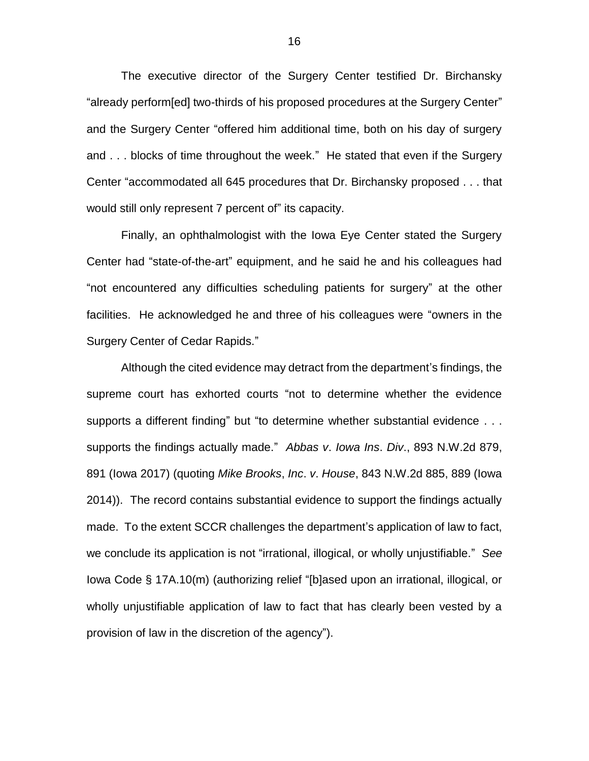The executive director of the Surgery Center testified Dr. Birchansky "already perform[ed] two-thirds of his proposed procedures at the Surgery Center" and the Surgery Center "offered him additional time, both on his day of surgery and . . . blocks of time throughout the week." He stated that even if the Surgery Center "accommodated all 645 procedures that Dr. Birchansky proposed . . . that would still only represent 7 percent of" its capacity.

Finally, an ophthalmologist with the Iowa Eye Center stated the Surgery Center had "state-of-the-art" equipment, and he said he and his colleagues had "not encountered any difficulties scheduling patients for surgery" at the other facilities. He acknowledged he and three of his colleagues were "owners in the Surgery Center of Cedar Rapids."

Although the cited evidence may detract from the department's findings, the supreme court has exhorted courts "not to determine whether the evidence supports a different finding" but "to determine whether substantial evidence . . . supports the findings actually made." *Abbas v*. *Iowa Ins*. *Div*., 893 N.W.2d 879, 891 (Iowa 2017) (quoting *Mike Brooks*, *Inc*. *v*. *House*, 843 N.W.2d 885, 889 (Iowa 2014)). The record contains substantial evidence to support the findings actually made. To the extent SCCR challenges the department's application of law to fact, we conclude its application is not "irrational, illogical, or wholly unjustifiable." *See*  Iowa Code § 17A.10(m) (authorizing relief "[b]ased upon an irrational, illogical, or wholly unjustifiable application of law to fact that has clearly been vested by a provision of law in the discretion of the agency").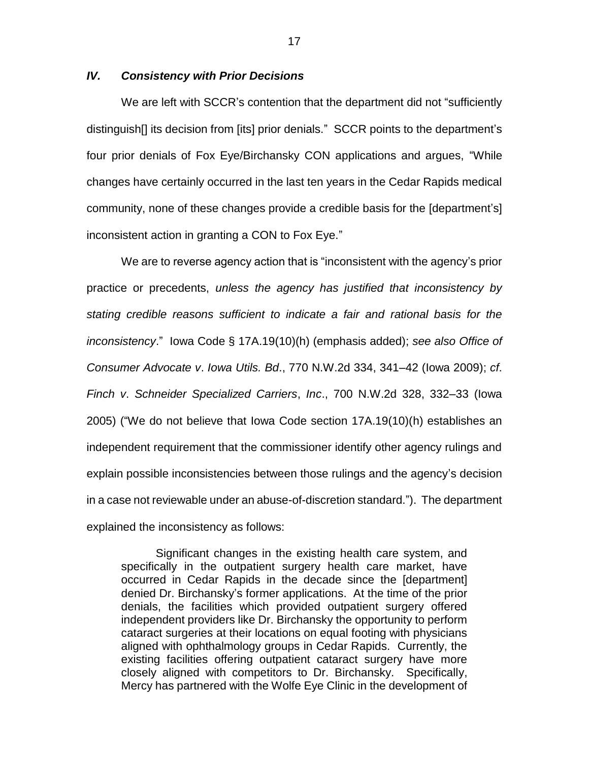# *IV. Consistency with Prior Decisions*

We are left with SCCR's contention that the department did not "sufficiently distinguish[] its decision from [its] prior denials." SCCR points to the department's four prior denials of Fox Eye/Birchansky CON applications and argues, "While changes have certainly occurred in the last ten years in the Cedar Rapids medical community, none of these changes provide a credible basis for the [department's] inconsistent action in granting a CON to Fox Eye."

We are to reverse agency action that is "inconsistent with the agency's prior practice or precedents, *unless the agency has justified that inconsistency by stating credible reasons sufficient to indicate a fair and rational basis for the inconsistency*." Iowa Code § 17A.19(10)(h) (emphasis added); *see also Office of Consumer Advocate v*. *Iowa Utils. Bd*., 770 N.W.2d 334, 341–42 (Iowa 2009); *cf*. *Finch v*. *Schneider Specialized Carriers*, *Inc*., 700 N.W.2d 328, 332–33 (Iowa 2005) ("We do not believe that Iowa Code section 17A.19(10)(h) establishes an independent requirement that the commissioner identify other agency rulings and explain possible inconsistencies between those rulings and the agency's decision in a case not reviewable under an abuse-of-discretion standard."). The department explained the inconsistency as follows:

Significant changes in the existing health care system, and specifically in the outpatient surgery health care market, have occurred in Cedar Rapids in the decade since the [department] denied Dr. Birchansky's former applications. At the time of the prior denials, the facilities which provided outpatient surgery offered independent providers like Dr. Birchansky the opportunity to perform cataract surgeries at their locations on equal footing with physicians aligned with ophthalmology groups in Cedar Rapids. Currently, the existing facilities offering outpatient cataract surgery have more closely aligned with competitors to Dr. Birchansky. Specifically, Mercy has partnered with the Wolfe Eye Clinic in the development of

17